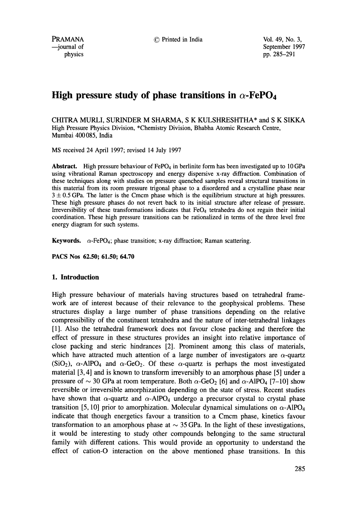PRAMANA --journal of physics

© Printed in India Vol. 49, No. 3,

September 1997 pp. 285-291

# **High pressure study of phase transitions in**  $\alpha$ **-FePO<sub>4</sub>**

CHITRA MURLI, SURINDER M SHARMA, S K KULSHRESHTHA\* and S K SIKKA High Pressure Physics Division, \*Chemistry Division, Bhabha Atomic Research Centre, Mumbai 400 085, India

MS received 24 April 1997; revised 14 July 1997

**Abstract.** High pressure behaviour of  $FePO<sub>4</sub>$  in berlinite form has been investigated up to 10 GPa using vibrational Raman spectroscopy and energy dispersive x-ray diffraction. Combination of these techniques along with studies on pressure quenched samples reveal structural transitions in this material from its room pressure trigonal phase to a disordered and a crystalline phase near  $3 \pm 0.5$  GPa. The latter is the Cmcm phase which is the equilibrium structure at high pressures. These high pressure phases do not revert back to its initial structure after release of pressure. Irreversibility of these transformations indicates that  $FeO<sub>4</sub>$  tetrahedra do not regain their initial coordination. These high pressure transitions can be rationalized in terms of the three level free energy diagram for such systems.

**Keywords.**  $\alpha$ -FePO<sub>4</sub>; phase transition; x-ray diffraction; Raman scattering.

**PACS Nos 62.50; 61.50; 64.70** 

#### 1. **Introduction**

High pressure behaviour of materials having structures based on tetrahedral framework are of interest because of their relevance to the geophysical problems. These structures display a large number of phase transitions depending on the relative compressibility of the constituent tetrahedra and the nature of inter-tetrahedral linkages [1]. Also the tetrahedral framework does not favour close packing and therefore the effect of pressure in these structures provides an insight into relative importance of close packing and steric hindrances [2]. Prominent among this class of materials, which have attracted much attention of a large number of investigators are  $\alpha$ -quartz (SiO<sub>2</sub>),  $\alpha$ -AlPO<sub>4</sub> and  $\alpha$ -GeO<sub>2</sub>. Of these  $\alpha$ -quartz is perhaps the most investigated material [3, 4] and is known to transform irreversibly to an amorphous phase [5] under a pressure of  $\sim$  30 GPa at room temperature. Both  $\alpha$ -GeO<sub>2</sub> [6] and  $\alpha$ -AlPO<sub>4</sub> [7-10] show reversible or irreversible amorphization depending on the state of stress. Recent studies have shown that  $\alpha$ -quartz and  $\alpha$ -AlPO<sub>4</sub> undergo a precursor crystal to crystal phase transition [5, 10] prior to amorphization. Molecular dynamical simulations on  $\alpha$ -AlPO<sub>4</sub> indicate that though energetics favour a transition to a Cmcm phase, kinetics favour transformation to an amorphous phase at  $\sim$  35 GPa. In the light of these investigations, it would be interesting to study other compounds belonging to the same structural family with different cations. This would provide an opportunity to understand the effect of cation-O interaction on the above mentioned phase transitions. In this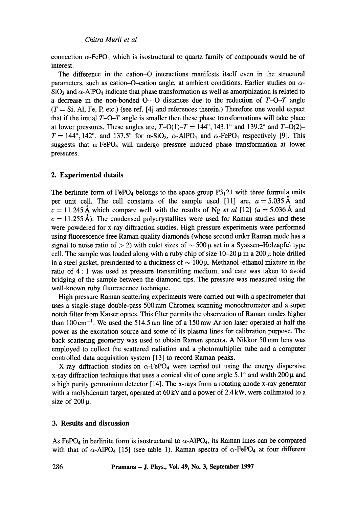connection  $\alpha$ -FePO<sub>4</sub> which is isostructural to quartz family of compounds would be of interest.

The difference in the cation-O interactions manifests itself even in the structural parameters, such as cation-O-cation angle, at ambient conditions. Earlier studies on  $\alpha$ - $SiO<sub>2</sub>$  and  $\alpha$ -AIPO<sub>4</sub> indicate that phase transformation as well as amorphization is related to a decrease in the non-bonded O--O distances due to the reduction of *T-O-T* angle  $(T = Si, Al, Fe, P, etc.)$  (see ref. [4] and references therein.) Therefore one would expect that if the initial  $T-O-T$  angle is smaller then these phase transformations will take place at lower pressures. These angles are,  $T-O(1)-T = 144^{\circ}$ , 143.1° and 139.2° and  $T-O(2)$ - $T = 144^\circ, 142^\circ$ , and 137.5° for  $\alpha$ -SiO<sub>2</sub>,  $\alpha$ -AlPO<sub>4</sub> and  $\alpha$ -FePO<sub>4</sub> respectively [9]. This suggests that  $\alpha$ -FePO<sub>4</sub> will undergo pressure induced phase transformation at lower pressures.

#### **2. Experimental details**

The berlinite form of FePO<sub>4</sub> belongs to the space group  $P3<sub>1</sub>21$  with three formula units per unit cell. The cell constants of the sample used [11] are,  $a = 5.035 \text{ Å}$  and  $c = 11.245 \text{ Å}$  which compare well with the results of Ng *et al* [12] ( $a = 5.036 \text{ Å}$  and  $c = 11.255$  Å). The condensed polycrystallites were used for Raman studies and these were powdered for x-ray diffraction studies. High pressure experiments were performed using fluorescence free Raman quality diamonds (whose second order Raman mode has a signal to noise ratio of  $> 2$ ) with culet sizes of  $\sim 500 \,\mu$  set in a Syassen-Holzapfel type cell. The sample was loaded along with a ruby chip of size  $10-20 \mu$  in a 200  $\mu$  hole drilled in a steel gasket, preindented to a thickness of  $\sim 100 \mu$ . Methanol-ethanol mixture in the ratio of 4 : 1 was used as pressure transmitting medium, and care was taken to avoid bridging of the sample between the diamond tips. The pressure was measured using the well-known ruby fluorescence technique.

High pressure Raman scattering experiments were carried out with a spectrometer that uses a single-stage double-pass 500 mm Chromex scanning monochromator and a super notch filter from Kaiser optics. This filter permits the observation of Raman modes higher than  $100 \text{ cm}^{-1}$ . We used the 514.5 nm line of a 150 mw Ar-ion laser operated at half the power as the excitation source and some of its plasma lines for calibration purpose. The back scattering geometry was used to obtain Raman spectra. A Nikkor 50 mm lens was employed to collect the scattered radiation and a photomultiplier tube and a computer controlled data acquisition system [13] to record Raman peaks.

X-ray diffraction studies on  $\alpha$ -FePO<sub>4</sub> were carried out using the energy dispersive x-ray diffraction technique that uses a conical slit of cone angle  $5.1^\circ$  and width  $200 \mu$  and a high purity germanium detector [14]. The x-rays from a rotating anode x-ray generator with a molybdenum target, operated at 60 kV and a power of 2.4 kW, were collimated to a size of  $200 \mu$ .

## **3. Results and discussion**

As FePO<sub>4</sub> in berlinite form is isostructural to  $\alpha$ -AlPO<sub>4</sub>, its Raman lines can be compared with that of  $\alpha$ -AlPO<sub>4</sub> [15] (see table 1). Raman spectra of  $\alpha$ -FePO<sub>4</sub> at four different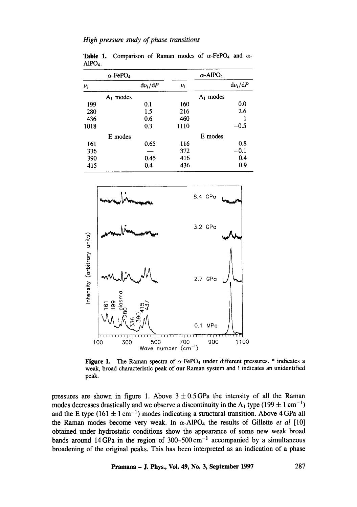|         | $\alpha$ -FePO <sub>4</sub> |             |         | $\alpha$ -AlPO <sub>4</sub> |             |
|---------|-----------------------------|-------------|---------|-----------------------------|-------------|
| $\nu_i$ |                             | $d\nu_i/dP$ | $\nu_i$ |                             | $d\nu_i/dP$ |
|         | $A_1$ modes                 |             |         | $A_1$ modes                 |             |
| 199     |                             | 0.1         | 160     |                             | 0.0         |
| 280     |                             | 1.5         | 216     |                             | 2.6         |
| 436     |                             | 0.6         | 460     |                             |             |
| 1018    |                             | 0.3         | 1110    |                             | $-0.5$      |
|         | E modes                     |             |         | E modes                     |             |
| 161     |                             | 0.65        | 116     |                             | 0.8         |
| 336     |                             |             | 372     |                             | $-0.1$      |
| 390     |                             | 0.45        | 416     |                             | 0.4         |
| 415     |                             | 0.4         | 436     |                             | 0.9         |

**Table 1.** Comparison of Raman modes of  $\alpha$ -FePO<sub>4</sub> and  $\alpha$ -A1PO4.



Figure 1. The Raman spectra of  $\alpha$ -FePO<sub>4</sub> under different pressures. \* indicates a weak, broad characteristic peak of our Raman system and ! indicates an unidentified peak.

pressures are shown in figure 1. Above  $3 \pm 0.5$  GPa the intensity of all the Raman modes decreases drastically and we observe a discontinuity in the A<sub>1</sub> type (199  $\pm$  1 cm<sup>-1</sup>) and the E type (161  $\pm$  1 cm<sup>-1</sup>) modes indicating a structural transition. Above 4 GPa all the Raman modes become very weak. In  $\alpha$ -AlPO<sub>4</sub> the results of Gillette *et al* [10] obtained under hydrostatic conditions show the appearance of some new weak broad bands around 14 GPa in the region of 300-500 cm<sup>-1</sup> accompanied by a simultaneous broadening of the original peaks. This has been interpreted as an indication of a phase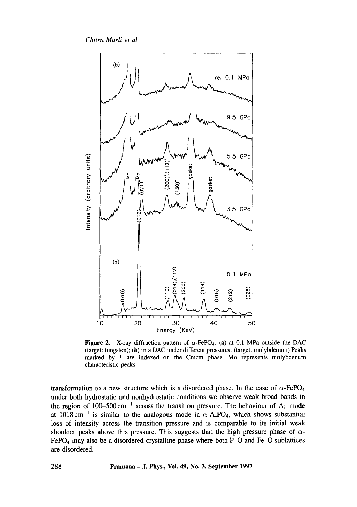*Chitra Murli et al* 



**Figure 2.** X-ray diffraction pattern of  $\alpha$ -FePO<sub>4</sub>; (a) at 0.1 MPa outside the DAC (target: tungsten); (b) in a DAC under different pressures; (target: molybdenum) Peaks marked by \* are indexed on the Cmcm phase. Mo represents molybdenum characteristic peaks.

transformation to a new structure which is a disordered phase. In the case of  $\alpha$ -FePO<sub>4</sub> under both hydrostatic and nonhydrostatic conditions we observe weak broad bands in the region of 100-500 cm<sup>-1</sup> across the transition pressure. The behaviour of  $A_1$  mode at  $1018 \text{ cm}^{-1}$  is similar to the analogous mode in  $\alpha$ -AlPO<sub>4</sub>, which shows substantial loss of intensity across the transition pressure and is comparable to its initial weak shoulder peaks above this pressure. This suggests that the high pressure phase of  $\alpha$ -FePO<sub>4</sub> may also be a disordered crystalline phase where both P-O and Fe-O sublattices are disordered.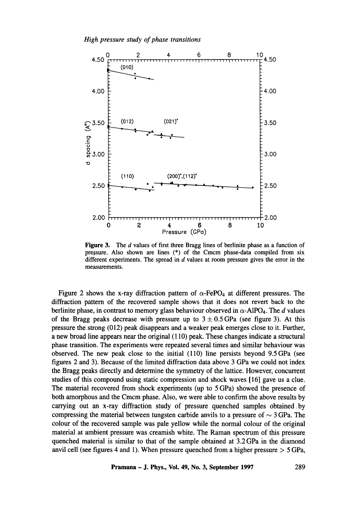

**Figure 3.** The d values of first three Bragg lines of berlinite phase as a function of pressure. Also shown are lines (\*) of the Cmcm phase-data compiled from six different experiments. The spread in  $d$  values at room pressure gives the error in the measurements.

Figure 2 shows the x-ray diffraction pattern of  $\alpha$ -FePO<sub>4</sub> at different pressures. The diffraction pattern of the recovered sample shows that it does not revert back to the berlinite phase, in contrast to memory glass behaviour observed in  $\alpha$ -AlPO<sub>4</sub>. The d values of the Bragg peaks decrease with pressure up to  $3 \pm 0.5$  GPa (see figure 3). At this pressure the strong (012) peak disappears and a weaker peak emerges close to it. Further, a new broad line appears near the original (110) peak. These changes indicate a structural phase transition. The experiments were repeated several times and similar behaviour was observed. The new peak close to the initial (110) line persists beyond 9.SGPa (see figures 2 and 3). Because of the limited diffraction data above 3 GPa we could not index the Bragg peaks directly and determine the symmetry of the lattice. However, concurrent studies of this compound using static compression and shock waves [16] gave us a clue. The material recovered from shock experiments (up to 5 GPa) showed the presence of both amorphous and the Cmcm phase. Also, we were able to confirm the above results by carrying out an x-ray diffraction study of pressure quenched samples obtained by compressing the material between tungsten carbide anvils to a pressure of  $\sim$  3 GPa. The colour of the recovered sample was pale yellow while the normal colour of the original material at ambient pressure was creamish white. The Raman spectrum of this pressure quenched material is similar to that of the sample obtained at 3.2 GPa in the diamond anvil cell (see figures 4 and 1). When pressure quenched from a higher pressure  $>$  5 GPa,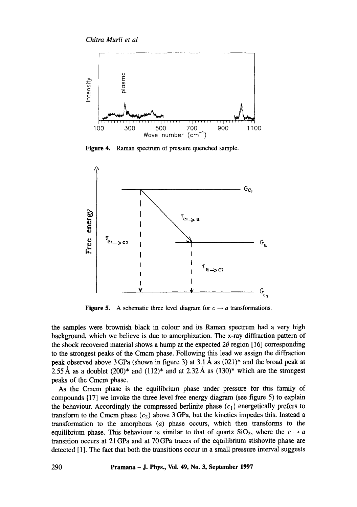

Figure 4. Raman spectrum of pressure quenched sample.



**Figure 5.** A schematic three level diagram for  $c \rightarrow a$  transformations.

the samples were brownish black in colour and its Raman spectrum had a very high background, which we believe is due to amorphization. The x-ray diffraction pattern of the shock recovered material shows a hump at the expected  $2\theta$  region [16] corresponding to the strongest peaks of the Cmcm phase. Following this lead we assign the diffraction peak observed above 3 GPa (shown in figure 3) at 3.1 Å as  $(021)^*$  and the broad peak at 2.55 Å as a doublet (200)\* and (112)\* and at 2.32 Å as (130)\* which are the strongest peaks of the Cmcm phase.

As the Cmcm phase is the equilibrium phase under pressure for this family of compounds [17] we invoke the three level free energy diagram (see figure 5) to explain the behaviour. Accordingly the compressed berlinite phase  $(c_1)$  energetically prefers to transform to the Cmcm phase  $(c_2)$  above 3 GPa, but the kinetics impedes this. Instead a transformation to the amorphous (a) phase occurs, which then transforms to the equilibrium phase. This behaviour is similar to that of quartz  $SiO<sub>2</sub>$ , where the  $c \rightarrow a$ transition occurs at 21 GPa and at 70 GPa traces of the equilibrium stishovite phase are detected [1]. The fact that both the transitions occur in a small pressure interval suggests